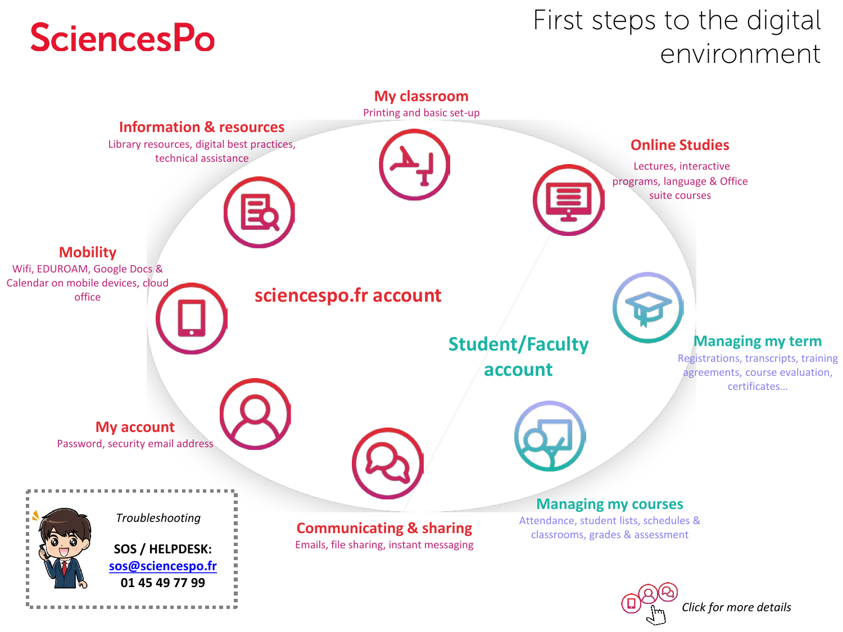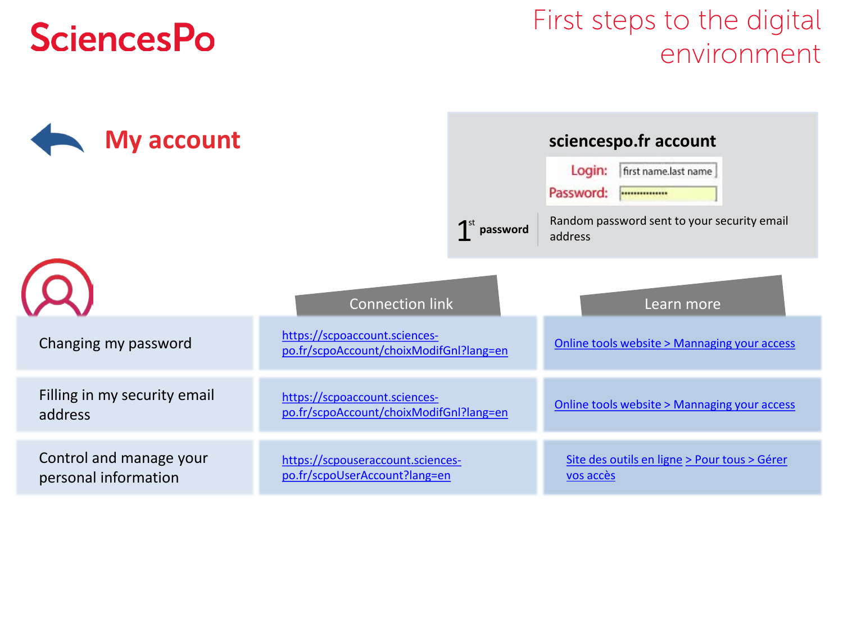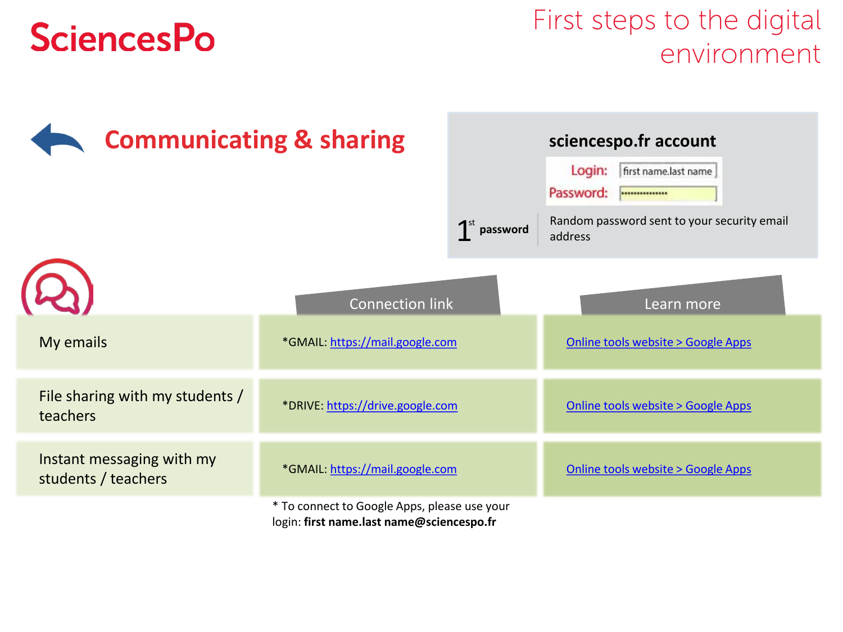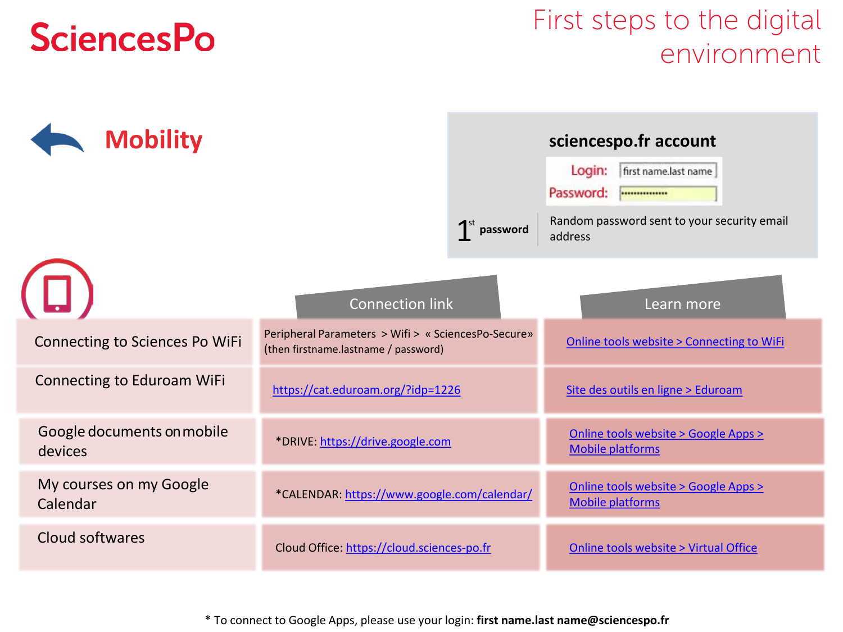#### First steps to the digital environment

<span id="page-3-0"></span>

\* To connect to Google Apps, please use your login: **first name.last name@sciencespo.fr**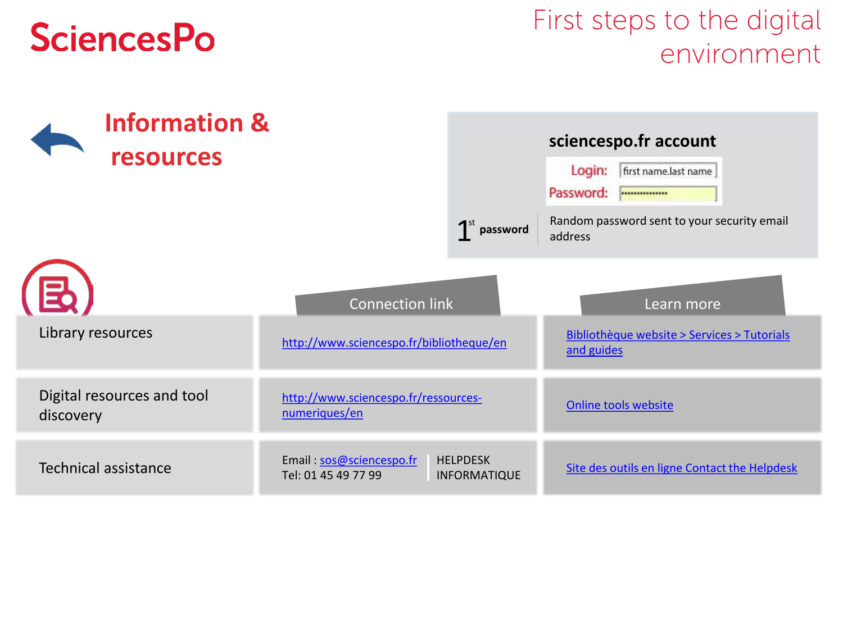<span id="page-4-0"></span>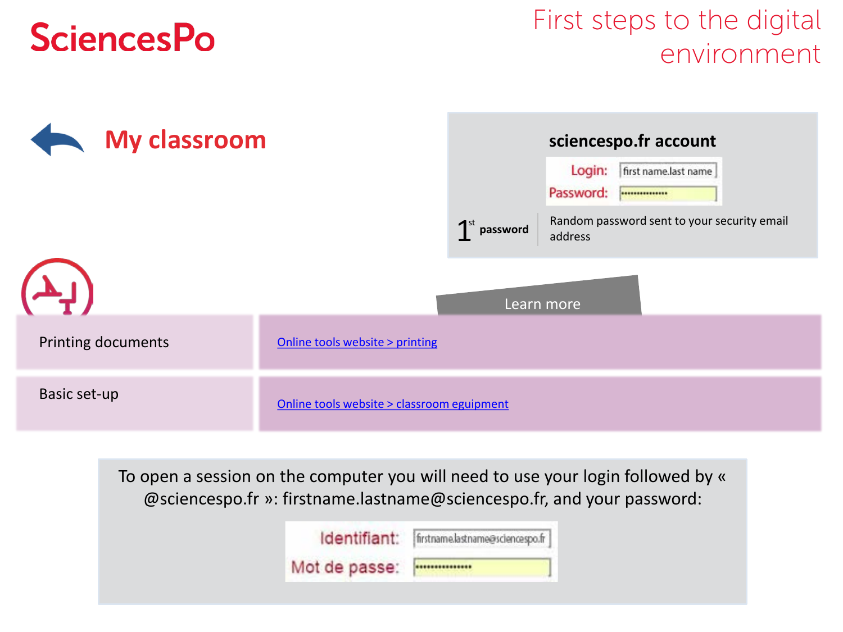#### First steps to the digital environment



To open a session on the computer you will need to use your login followed by « @sciencespo.fr »: firstname.lastname@sciencespo.fr, and your password:

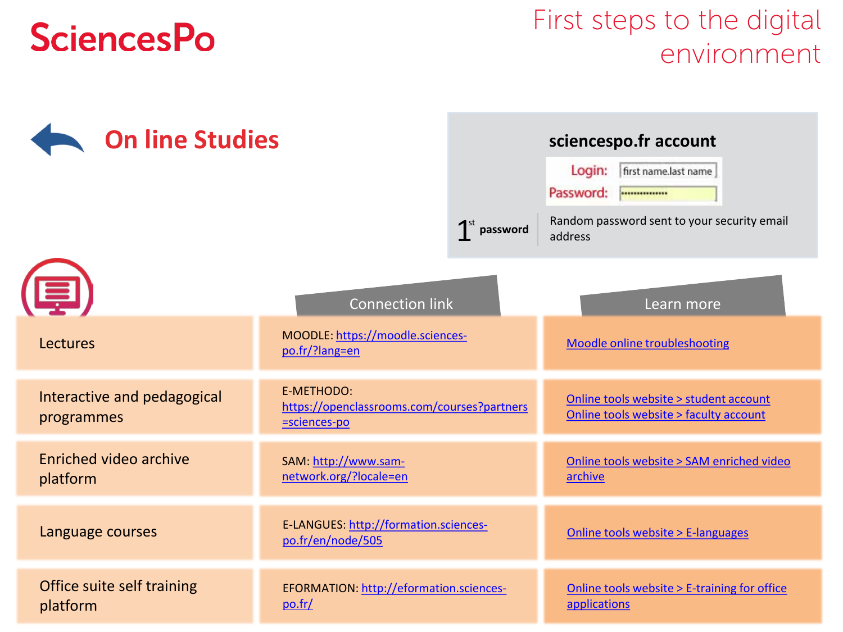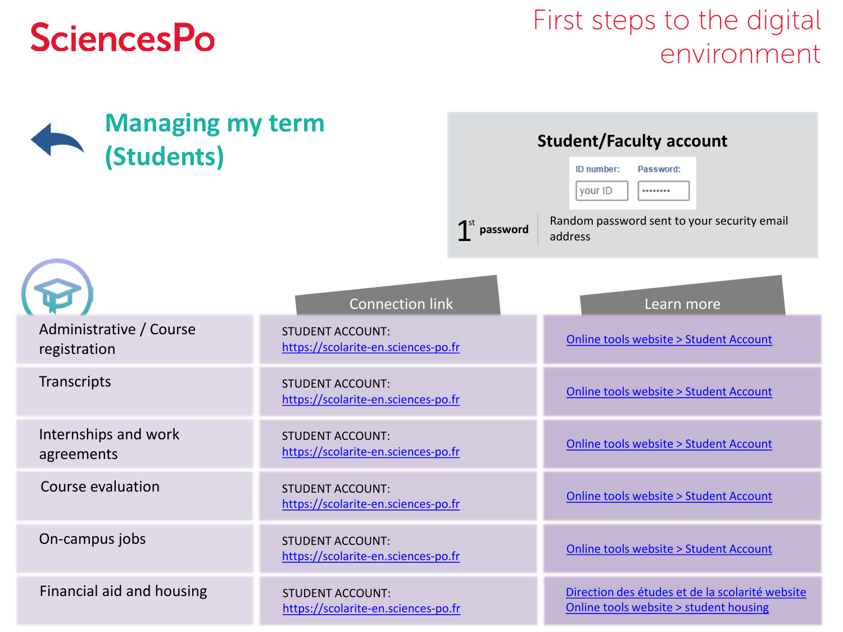<span id="page-7-0"></span>